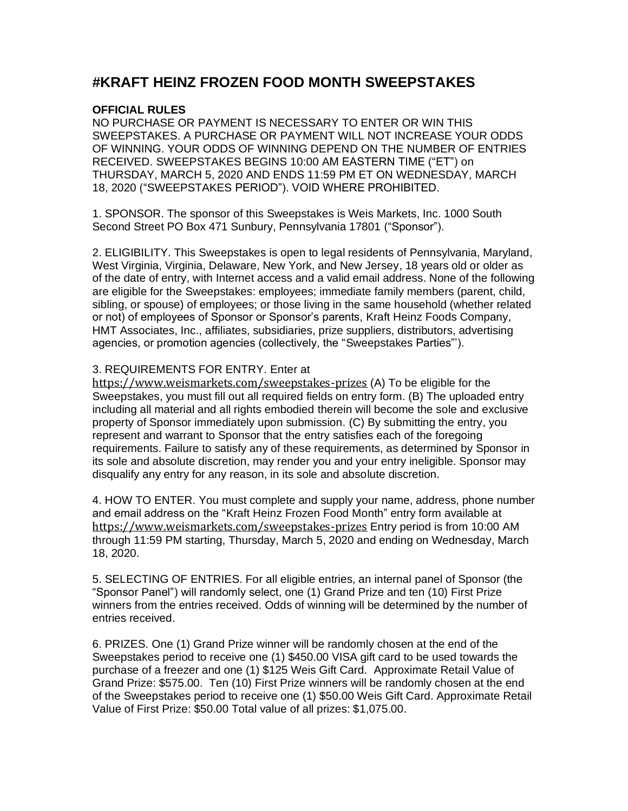## **#KRAFT HEINZ FROZEN FOOD MONTH SWEEPSTAKES**

## **OFFICIAL RULES**

 NO PURCHASE OR PAYMENT IS NECESSARY TO ENTER OR WIN THIS SWEEPSTAKES. A PURCHASE OR PAYMENT WILL NOT INCREASE YOUR ODDS OF WINNING. YOUR ODDS OF WINNING DEPEND ON THE NUMBER OF ENTRIES RECEIVED. SWEEPSTAKES BEGINS 10:00 AM EASTERN TIME ("ET") on THURSDAY, MARCH 5, 2020 AND ENDS 11:59 PM ET ON WEDNESDAY, MARCH 18, 2020 ("SWEEPSTAKES PERIOD"). VOID WHERE PROHIBITED.

 1. SPONSOR. The sponsor of this Sweepstakes is Weis Markets, Inc. 1000 South Second Street PO Box 471 Sunbury, Pennsylvania 17801 ("Sponsor").

 2. ELIGIBILITY. This Sweepstakes is open to legal residents of Pennsylvania, Maryland, West Virginia, Virginia, Delaware, New York, and New Jersey, 18 years old or older as of the date of entry, with Internet access and a valid email address. None of the following are eligible for the Sweepstakes: employees; immediate family members (parent, child, sibling, or spouse) of employees; or those living in the same household (whether related or not) of employees of Sponsor or Sponsor's parents, Kraft Heinz Foods Company, HMT Associates, Inc., affiliates, subsidiaries, prize suppliers, distributors, advertising agencies, or promotion agencies (collectively, the "Sweepstakes Parties"').

## 3. REQUIREMENTS FOR ENTRY. Enter at

 [https://www.weismarkets.com/sweepstakes-prizes](https://us-west-2.protection.sophos.com/?d=weismarkets.com&u=aHR0cHM6Ly93d3cud2Vpc21hcmtldHMuY29tL3N3ZWVwc3Rha2VzLXByaXplcw==&e=a2ltc3RpbWFAaG10YXNzb2NpYXRlcy5jb20=&h=664860d2341343b2ae253df47e076881&t=RTFPemdadFBKcUNsUU16UlBSK3duUlJHZlVwVFdSUmhUVHFscExadTR2MD0=) (A) To be eligible for the Sweepstakes, you must fill out all required fields on entry form. (B) The uploaded entry including all material and all rights embodied therein will become the sole and exclusive property of Sponsor immediately upon submission. (C) By submitting the entry, you represent and warrant to Sponsor that the entry satisfies each of the foregoing requirements. Failure to satisfy any of these requirements, as determined by Sponsor in its sole and absolute discretion, may render you and your entry ineligible. Sponsor may disqualify any entry for any reason, in its sole and absolute discretion.

 4. HOW TO ENTER. You must complete and supply your name, address, phone number and email address on the "Kraft Heinz Frozen Food Month" entry form available at [https://www.weismarkets.com/sweepstakes-prizes](https://us-west-2.protection.sophos.com/?d=weismarkets.com&u=aHR0cHM6Ly93d3cud2Vpc21hcmtldHMuY29tL3N3ZWVwc3Rha2VzLXByaXplcw==&e=a2ltc3RpbWFAaG10YXNzb2NpYXRlcy5jb20=&h=664860d2341343b2ae253df47e076881&t=RTFPemdadFBKcUNsUU16UlBSK3duUlJHZlVwVFdSUmhUVHFscExadTR2MD0=) Entry period is from 10:00 AM through 11:59 PM starting, Thursday, March 5, 2020 and ending on Wednesday, March 18, 2020.

 5. SELECTING OF ENTRIES. For all eligible entries, an internal panel of Sponsor (the "Sponsor Panel") will randomly select, one (1) Grand Prize and ten (10) First Prize winners from the entries received. Odds of winning will be determined by the number of entries received.

 6. PRIZES. One (1) Grand Prize winner will be randomly chosen at the end of the Sweepstakes period to receive one (1) \$450.00 VISA gift card to be used towards the purchase of a freezer and one (1) \$125 Weis Gift Card. Approximate Retail Value of Grand Prize: \$575.00. Ten (10) First Prize winners will be randomly chosen at the end of the Sweepstakes period to receive one (1) \$50.00 Weis Gift Card. Approximate Retail Value of First Prize: \$50.00 Total value of all prizes: \$1,075.00.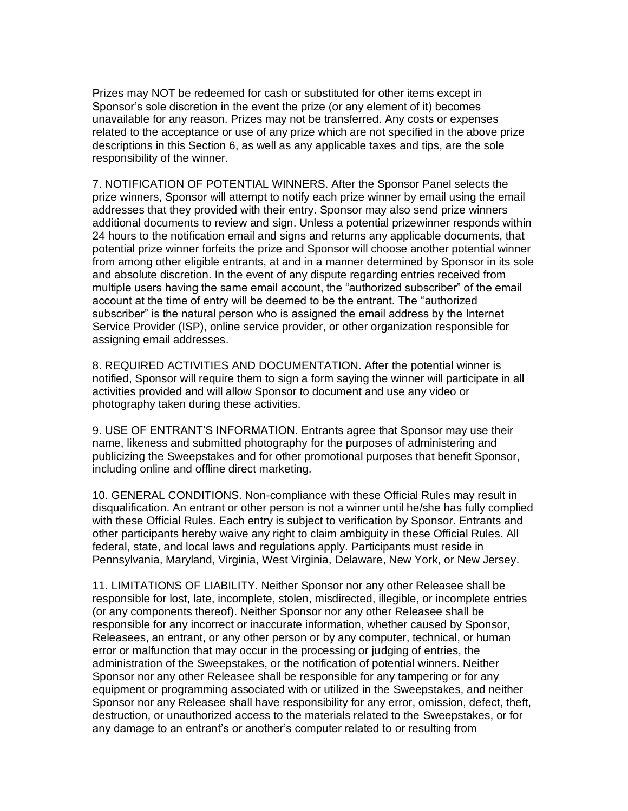Prizes may NOT be redeemed for cash or substituted for other items except in Sponsor's sole discretion in the event the prize (or any element of it) becomes unavailable for any reason. Prizes may not be transferred. Any costs or expenses related to the acceptance or use of any prize which are not specified in the above prize descriptions in this Section 6, as well as any applicable taxes and tips, are the sole responsibility of the winner.

 7. NOTIFICATION OF POTENTIAL WINNERS. After the Sponsor Panel selects the prize winners, Sponsor will attempt to notify each prize winner by email using the email addresses that they provided with their entry. Sponsor may also send prize winners additional documents to review and sign. Unless a potential prizewinner responds within 24 hours to the notification email and signs and returns any applicable documents, that potential prize winner forfeits the prize and Sponsor will choose another potential winner from among other eligible entrants, at and in a manner determined by Sponsor in its sole and absolute discretion. In the event of any dispute regarding entries received from multiple users having the same email account, the "authorized subscriber" of the email account at the time of entry will be deemed to be the entrant. The "authorized subscriber" is the natural person who is assigned the email address by the Internet Service Provider (ISP), online service provider, or other organization responsible for assigning email addresses.

 8. REQUIRED ACTIVITIES AND DOCUMENTATION. After the potential winner is notified, Sponsor will require them to sign a form saying the winner will participate in all activities provided and will allow Sponsor to document and use any video or photography taken during these activities.

 9. USE OF ENTRANT'S INFORMATION. Entrants agree that Sponsor may use their name, likeness and submitted photography for the purposes of administering and publicizing the Sweepstakes and for other promotional purposes that benefit Sponsor, including online and offline direct marketing.

 10. GENERAL CONDITIONS. Non-compliance with these Official Rules may result in disqualification. An entrant or other person is not a winner until he/she has fully complied with these Official Rules. Each entry is subject to verification by Sponsor. Entrants and other participants hereby waive any right to claim ambiguity in these Official Rules. All federal, state, and local laws and regulations apply. Participants must reside in Pennsylvania, Maryland, Virginia, West Virginia, Delaware, New York, or New Jersey.

 11. LIMITATIONS OF LIABILITY. Neither Sponsor nor any other Releasee shall be responsible for lost, late, incomplete, stolen, misdirected, illegible, or incomplete entries (or any components thereof). Neither Sponsor nor any other Releasee shall be responsible for any incorrect or inaccurate information, whether caused by Sponsor, Releasees, an entrant, or any other person or by any computer, technical, or human error or malfunction that may occur in the processing or judging of entries, the administration of the Sweepstakes, or the notification of potential winners. Neither Sponsor nor any other Releasee shall be responsible for any tampering or for any equipment or programming associated with or utilized in the Sweepstakes, and neither Sponsor nor any Releasee shall have responsibility for any error, omission, defect, theft, destruction, or unauthorized access to the materials related to the Sweepstakes, or for any damage to an entrant's or another's computer related to or resulting from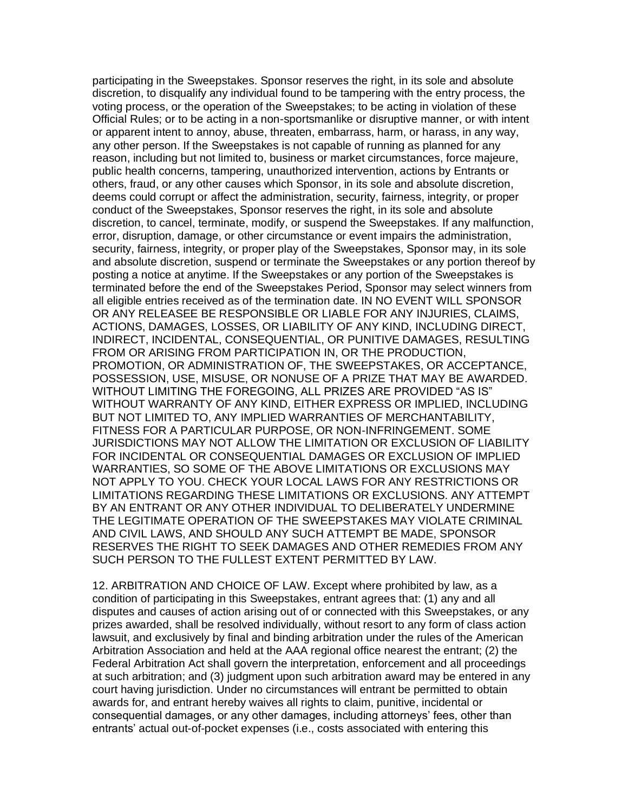participating in the Sweepstakes. Sponsor reserves the right, in its sole and absolute discretion, to disqualify any individual found to be tampering with the entry process, the voting process, or the operation of the Sweepstakes; to be acting in violation of these Official Rules; or to be acting in a non-sportsmanlike or disruptive manner, or with intent or apparent intent to annoy, abuse, threaten, embarrass, harm, or harass, in any way, any other person. If the Sweepstakes is not capable of running as planned for any reason, including but not limited to, business or market circumstances, force majeure, public health concerns, tampering, unauthorized intervention, actions by Entrants or others, fraud, or any other causes which Sponsor, in its sole and absolute discretion, deems could corrupt or affect the administration, security, fairness, integrity, or proper conduct of the Sweepstakes, Sponsor reserves the right, in its sole and absolute discretion, to cancel, terminate, modify, or suspend the Sweepstakes. If any malfunction, error, disruption, damage, or other circumstance or event impairs the administration, security, fairness, integrity, or proper play of the Sweepstakes, Sponsor may, in its sole and absolute discretion, suspend or terminate the Sweepstakes or any portion thereof by posting a notice at anytime. If the Sweepstakes or any portion of the Sweepstakes is terminated before the end of the Sweepstakes Period, Sponsor may select winners from all eligible entries received as of the termination date. IN NO EVENT WILL SPONSOR OR ANY RELEASEE BE RESPONSIBLE OR LIABLE FOR ANY INJURIES, CLAIMS, ACTIONS, DAMAGES, LOSSES, OR LIABILITY OF ANY KIND, INCLUDING DIRECT, INDIRECT, INCIDENTAL, CONSEQUENTIAL, OR PUNITIVE DAMAGES, RESULTING FROM OR ARISING FROM PARTICIPATION IN, OR THE PRODUCTION, PROMOTION, OR ADMINISTRATION OF, THE SWEEPSTAKES, OR ACCEPTANCE, POSSESSION, USE, MISUSE, OR NONUSE OF A PRIZE THAT MAY BE AWARDED. WITHOUT LIMITING THE FOREGOING, ALL PRIZES ARE PROVIDED "AS IS" WITHOUT WARRANTY OF ANY KIND, EITHER EXPRESS OR IMPLIED, INCLUDING BUT NOT LIMITED TO, ANY IMPLIED WARRANTIES OF MERCHANTABILITY, FITNESS FOR A PARTICULAR PURPOSE, OR NON-INFRINGEMENT. SOME JURISDICTIONS MAY NOT ALLOW THE LIMITATION OR EXCLUSION OF LIABILITY FOR INCIDENTAL OR CONSEQUENTIAL DAMAGES OR EXCLUSION OF IMPLIED WARRANTIES, SO SOME OF THE ABOVE LIMITATIONS OR EXCLUSIONS MAY NOT APPLY TO YOU. CHECK YOUR LOCAL LAWS FOR ANY RESTRICTIONS OR LIMITATIONS REGARDING THESE LIMITATIONS OR EXCLUSIONS. ANY ATTEMPT BY AN ENTRANT OR ANY OTHER INDIVIDUAL TO DELIBERATELY UNDERMINE THE LEGITIMATE OPERATION OF THE SWEEPSTAKES MAY VIOLATE CRIMINAL AND CIVIL LAWS, AND SHOULD ANY SUCH ATTEMPT BE MADE, SPONSOR RESERVES THE RIGHT TO SEEK DAMAGES AND OTHER REMEDIES FROM ANY SUCH PERSON TO THE FULLEST EXTENT PERMITTED BY LAW.

 12. ARBITRATION AND CHOICE OF LAW. Except where prohibited by law, as a condition of participating in this Sweepstakes, entrant agrees that: (1) any and all disputes and causes of action arising out of or connected with this Sweepstakes, or any prizes awarded, shall be resolved individually, without resort to any form of class action lawsuit, and exclusively by final and binding arbitration under the rules of the American Arbitration Association and held at the AAA regional office nearest the entrant; (2) the Federal Arbitration Act shall govern the interpretation, enforcement and all proceedings at such arbitration; and (3) judgment upon such arbitration award may be entered in any court having jurisdiction. Under no circumstances will entrant be permitted to obtain awards for, and entrant hereby waives all rights to claim, punitive, incidental or consequential damages, or any other damages, including attorneys' fees, other than entrants' actual out-of-pocket expenses (i.e., costs associated with entering this